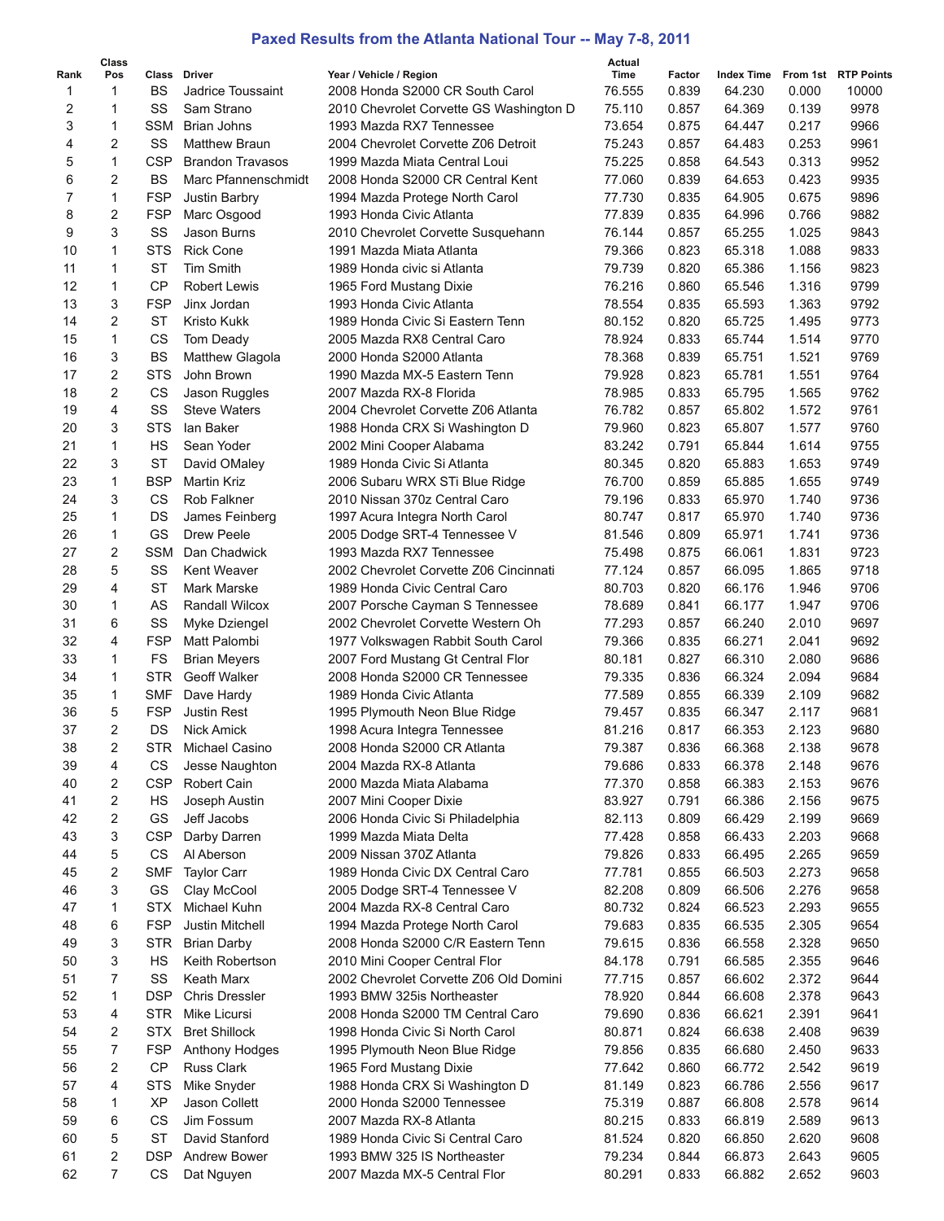## **Paxed Results from the Atlanta National Tour -- May 7-8, 2011**

|      | Class |            |                         |                                         | Actual |        |                                |       |       |
|------|-------|------------|-------------------------|-----------------------------------------|--------|--------|--------------------------------|-------|-------|
| Rank | Pos   |            | Class Driver            | Year / Vehicle / Region                 | Time   | Factor | Index Time From 1st RTP Points |       |       |
| 1    | 1     | <b>BS</b>  | Jadrice Toussaint       | 2008 Honda S2000 CR South Carol         | 76.555 | 0.839  | 64.230                         | 0.000 | 10000 |
| 2    | 1     | SS         | Sam Strano              | 2010 Chevrolet Corvette GS Washington D | 75.110 | 0.857  | 64.369                         | 0.139 | 9978  |
| 3    | 1     | <b>SSM</b> | Brian Johns             | 1993 Mazda RX7 Tennessee                | 73.654 | 0.875  | 64.447                         | 0.217 | 9966  |
| 4    | 2     | SS         | <b>Matthew Braun</b>    | 2004 Chevrolet Corvette Z06 Detroit     | 75.243 | 0.857  | 64.483                         | 0.253 | 9961  |
| 5    | 1     | <b>CSP</b> | <b>Brandon Travasos</b> | 1999 Mazda Miata Central Loui           | 75.225 | 0.858  | 64.543                         | 0.313 | 9952  |
| 6    | 2     | <b>BS</b>  | Marc Pfannenschmidt     | 2008 Honda S2000 CR Central Kent        | 77.060 | 0.839  | 64.653                         | 0.423 | 9935  |
| 7    | 1     | <b>FSP</b> | Justin Barbry           | 1994 Mazda Protege North Carol          | 77.730 | 0.835  | 64.905                         | 0.675 | 9896  |
| 8    | 2     | <b>FSP</b> | Marc Osgood             | 1993 Honda Civic Atlanta                | 77.839 | 0.835  | 64.996                         | 0.766 | 9882  |
| 9    | 3     | SS         | Jason Burns             | 2010 Chevrolet Corvette Susquehann      | 76.144 | 0.857  | 65.255                         | 1.025 | 9843  |
| 10   | 1     | <b>STS</b> | <b>Rick Cone</b>        | 1991 Mazda Miata Atlanta                | 79.366 | 0.823  | 65.318                         | 1.088 | 9833  |
| 11   | 1     | <b>ST</b>  | <b>Tim Smith</b>        | 1989 Honda civic si Atlanta             | 79.739 | 0.820  | 65.386                         | 1.156 | 9823  |
| 12   | 1     | <b>CP</b>  | <b>Robert Lewis</b>     | 1965 Ford Mustang Dixie                 | 76.216 | 0.860  | 65.546                         | 1.316 | 9799  |
| 13   | 3     | <b>FSP</b> | Jinx Jordan             | 1993 Honda Civic Atlanta                | 78.554 | 0.835  | 65.593                         | 1.363 | 9792  |
| 14   | 2     | <b>ST</b>  | Kristo Kukk             | 1989 Honda Civic Si Eastern Tenn        | 80.152 | 0.820  | 65.725                         | 1.495 | 9773  |
| 15   | 1     | CS         | Tom Deady               | 2005 Mazda RX8 Central Caro             | 78.924 | 0.833  | 65.744                         | 1.514 | 9770  |
| 16   | 3     | <b>BS</b>  | <b>Matthew Glagola</b>  | 2000 Honda S2000 Atlanta                | 78.368 | 0.839  | 65.751                         | 1.521 | 9769  |
| 17   | 2     | <b>STS</b> | John Brown              | 1990 Mazda MX-5 Eastern Tenn            | 79.928 | 0.823  | 65.781                         | 1.551 | 9764  |
| 18   | 2     | CS         | Jason Ruggles           | 2007 Mazda RX-8 Florida                 | 78.985 | 0.833  | 65.795                         | 1.565 | 9762  |
| 19   | 4     | SS         | <b>Steve Waters</b>     | 2004 Chevrolet Corvette Z06 Atlanta     | 76.782 | 0.857  | 65.802                         | 1.572 | 9761  |
| 20   | 3     | <b>STS</b> | lan Baker               | 1988 Honda CRX Si Washington D          | 79.960 | 0.823  | 65.807                         | 1.577 | 9760  |
| 21   | 1     | HS         | Sean Yoder              | 2002 Mini Cooper Alabama                | 83.242 | 0.791  | 65.844                         | 1.614 | 9755  |
| 22   | 3     | ST         |                         | 1989 Honda Civic Si Atlanta             | 80.345 | 0.820  | 65.883                         | 1.653 | 9749  |
| 23   | 1     | <b>BSP</b> | David OMaley            |                                         |        |        |                                |       |       |
|      |       |            | <b>Martin Kriz</b>      | 2006 Subaru WRX STi Blue Ridge          | 76.700 | 0.859  | 65.885                         | 1.655 | 9749  |
| 24   | 3     | CS         | Rob Falkner             | 2010 Nissan 370z Central Caro           | 79.196 | 0.833  | 65.970                         | 1.740 | 9736  |
| 25   | 1     | DS         | James Feinberg          | 1997 Acura Integra North Carol          | 80.747 | 0.817  | 65.970                         | 1.740 | 9736  |
| 26   | 1     | GS         | Drew Peele              | 2005 Dodge SRT-4 Tennessee V            | 81.546 | 0.809  | 65.971                         | 1.741 | 9736  |
| 27   | 2     | <b>SSM</b> | Dan Chadwick            | 1993 Mazda RX7 Tennessee                | 75.498 | 0.875  | 66.061                         | 1.831 | 9723  |
| 28   | 5     | SS         | Kent Weaver             | 2002 Chevrolet Corvette Z06 Cincinnati  | 77.124 | 0.857  | 66.095                         | 1.865 | 9718  |
| 29   | 4     | <b>ST</b>  | Mark Marske             | 1989 Honda Civic Central Caro           | 80.703 | 0.820  | 66.176                         | 1.946 | 9706  |
| 30   | 1     | AS         | Randall Wilcox          | 2007 Porsche Cayman S Tennessee         | 78.689 | 0.841  | 66.177                         | 1.947 | 9706  |
| 31   | 6     | SS         | Myke Dziengel           | 2002 Chevrolet Corvette Western Oh      | 77.293 | 0.857  | 66.240                         | 2.010 | 9697  |
| 32   | 4     | <b>FSP</b> | Matt Palombi            | 1977 Volkswagen Rabbit South Carol      | 79.366 | 0.835  | 66.271                         | 2.041 | 9692  |
| 33   | 1     | <b>FS</b>  | <b>Brian Meyers</b>     | 2007 Ford Mustang Gt Central Flor       | 80.181 | 0.827  | 66.310                         | 2.080 | 9686  |
| 34   | 1     | <b>STR</b> | <b>Geoff Walker</b>     | 2008 Honda S2000 CR Tennessee           | 79.335 | 0.836  | 66.324                         | 2.094 | 9684  |
| 35   | 1     | <b>SMF</b> | Dave Hardy              | 1989 Honda Civic Atlanta                | 77.589 | 0.855  | 66.339                         | 2.109 | 9682  |
| 36   | 5     | <b>FSP</b> | <b>Justin Rest</b>      | 1995 Plymouth Neon Blue Ridge           | 79.457 | 0.835  | 66.347                         | 2.117 | 9681  |
| 37   | 2     | DS         | <b>Nick Amick</b>       | 1998 Acura Integra Tennessee            | 81.216 | 0.817  | 66.353                         | 2.123 | 9680  |
| 38   | 2     | <b>STR</b> | Michael Casino          | 2008 Honda S2000 CR Atlanta             | 79.387 | 0.836  | 66.368                         | 2.138 | 9678  |
| 39   | 4     | CS         | Jesse Naughton          | 2004 Mazda RX-8 Atlanta                 | 79.686 | 0.833  | 66.378                         | 2.148 | 9676  |
| 40   | 2     | <b>CSP</b> | Robert Cain             | 2000 Mazda Miata Alabama                | 77.370 | 0.858  | 66.383                         | 2.153 | 9676  |
| 41   | 2     | HS         | Joseph Austin           | 2007 Mini Cooper Dixie                  | 83.927 | 0.791  | 66.386                         | 2.156 | 9675  |
| 42   | 2     | GS         | Jeff Jacobs             | 2006 Honda Civic Si Philadelphia        | 82.113 | 0.809  | 66.429                         | 2.199 | 9669  |
| 43   | 3     | <b>CSP</b> | Darby Darren            | 1999 Mazda Miata Delta                  | 77.428 | 0.858  | 66.433                         | 2.203 | 9668  |
| 44   | 5     | CS         | Al Aberson              | 2009 Nissan 370Z Atlanta                | 79.826 | 0.833  | 66.495                         | 2.265 | 9659  |
| 45   | 2     | <b>SMF</b> | <b>Taylor Carr</b>      | 1989 Honda Civic DX Central Caro        | 77.781 | 0.855  | 66.503                         | 2.273 | 9658  |
| 46   | 3     | GS         | Clay McCool             | 2005 Dodge SRT-4 Tennessee V            | 82.208 | 0.809  | 66.506                         | 2.276 | 9658  |
| 47   | 1     | <b>STX</b> | Michael Kuhn            | 2004 Mazda RX-8 Central Caro            | 80.732 | 0.824  | 66.523                         | 2.293 | 9655  |
| 48   | 6     | <b>FSP</b> | Justin Mitchell         | 1994 Mazda Protege North Carol          | 79.683 | 0.835  | 66.535                         | 2.305 | 9654  |
| 49   | 3     | <b>STR</b> | <b>Brian Darby</b>      | 2008 Honda S2000 C/R Eastern Tenn       | 79.615 | 0.836  | 66.558                         | 2.328 | 9650  |
| 50   | 3     | HS         | Keith Robertson         | 2010 Mini Cooper Central Flor           | 84.178 | 0.791  | 66.585                         | 2.355 | 9646  |
| 51   | 7     | SS         | Keath Marx              | 2002 Chevrolet Corvette Z06 Old Domini  | 77.715 | 0.857  | 66.602                         | 2.372 | 9644  |
| 52   | 1     | <b>DSP</b> | <b>Chris Dressler</b>   | 1993 BMW 325 is Northeaster             | 78.920 | 0.844  | 66.608                         | 2.378 | 9643  |
| 53   | 4     | <b>STR</b> | Mike Licursi            | 2008 Honda S2000 TM Central Caro        | 79.690 | 0.836  | 66.621                         | 2.391 | 9641  |
|      |       |            |                         |                                         |        |        |                                |       |       |
| 54   | 2     | STX.       | <b>Bret Shillock</b>    | 1998 Honda Civic Si North Carol         | 80.871 | 0.824  | 66.638                         | 2.408 | 9639  |
| 55   | 7     | <b>FSP</b> | Anthony Hodges          | 1995 Plymouth Neon Blue Ridge           | 79.856 | 0.835  | 66.680                         | 2.450 | 9633  |
| 56   | 2     | CP         | Russ Clark              | 1965 Ford Mustang Dixie                 | 77.642 | 0.860  | 66.772                         | 2.542 | 9619  |
| 57   | 4     | <b>STS</b> | Mike Snyder             | 1988 Honda CRX Si Washington D          | 81.149 | 0.823  | 66.786                         | 2.556 | 9617  |
| 58   | 1     | XP         | Jason Collett           | 2000 Honda S2000 Tennessee              | 75.319 | 0.887  | 66.808                         | 2.578 | 9614  |
| 59   | 6     | CS         | Jim Fossum              | 2007 Mazda RX-8 Atlanta                 | 80.215 | 0.833  | 66.819                         | 2.589 | 9613  |
| 60   | 5     | ST         | David Stanford          | 1989 Honda Civic Si Central Caro        | 81.524 | 0.820  | 66.850                         | 2.620 | 9608  |
| 61   | 2     | DSP        | <b>Andrew Bower</b>     | 1993 BMW 325 IS Northeaster             | 79.234 | 0.844  | 66.873                         | 2.643 | 9605  |
| 62   | 7     | CS         | Dat Nguyen              | 2007 Mazda MX-5 Central Flor            | 80.291 | 0.833  | 66.882                         | 2.652 | 9603  |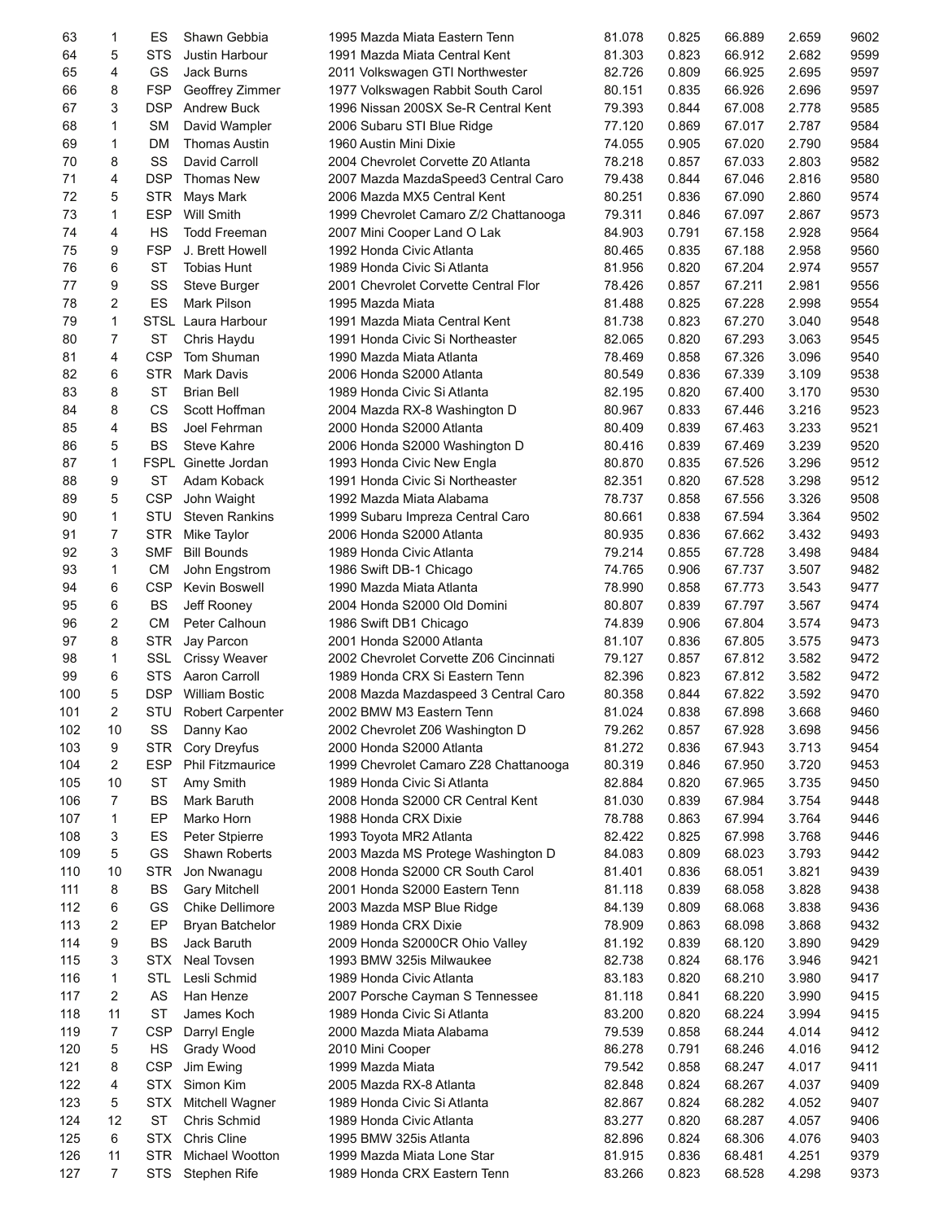| 63  | 1              | ES         | Shawn Gebbia            | 1995 Mazda Miata Eastern Tenn          | 81.078 | 0.825 | 66.889 | 2.659 | 9602 |
|-----|----------------|------------|-------------------------|----------------------------------------|--------|-------|--------|-------|------|
| 64  | 5              | <b>STS</b> | Justin Harbour          | 1991 Mazda Miata Central Kent          | 81.303 | 0.823 | 66.912 | 2.682 | 9599 |
| 65  | 4              | GS         | Jack Burns              | 2011 Volkswagen GTI Northwester        | 82.726 | 0.809 | 66.925 | 2.695 | 9597 |
| 66  | 8              | <b>FSP</b> | Geoffrey Zimmer         | 1977 Volkswagen Rabbit South Carol     | 80.151 | 0.835 | 66.926 | 2.696 | 9597 |
| 67  | 3              | <b>DSP</b> | <b>Andrew Buck</b>      | 1996 Nissan 200SX Se-R Central Kent    | 79.393 | 0.844 | 67.008 | 2.778 | 9585 |
| 68  | 1              | <b>SM</b>  | David Wampler           | 2006 Subaru STI Blue Ridge             | 77.120 | 0.869 | 67.017 | 2.787 | 9584 |
| 69  | 1              | <b>DM</b>  | <b>Thomas Austin</b>    | 1960 Austin Mini Dixie                 | 74.055 | 0.905 | 67.020 | 2.790 | 9584 |
| 70  | 8              | SS         | David Carroll           | 2004 Chevrolet Corvette Z0 Atlanta     | 78.218 | 0.857 | 67.033 | 2.803 | 9582 |
| 71  | 4              | <b>DSP</b> | Thomas New              | 2007 Mazda MazdaSpeed3 Central Caro    | 79.438 | 0.844 | 67.046 | 2.816 | 9580 |
| 72  |                |            |                         |                                        |        |       |        | 2.860 |      |
|     | 5              | <b>STR</b> | Mays Mark               | 2006 Mazda MX5 Central Kent            | 80.251 | 0.836 | 67.090 |       | 9574 |
| 73  | 1              | <b>ESP</b> | Will Smith              | 1999 Chevrolet Camaro Z/2 Chattanooga  | 79.311 | 0.846 | 67.097 | 2.867 | 9573 |
| 74  | 4              | HS         | <b>Todd Freeman</b>     | 2007 Mini Cooper Land O Lak            | 84.903 | 0.791 | 67.158 | 2.928 | 9564 |
| 75  | 9              | <b>FSP</b> | J. Brett Howell         | 1992 Honda Civic Atlanta               | 80.465 | 0.835 | 67.188 | 2.958 | 9560 |
| 76  | 6              | <b>ST</b>  | <b>Tobias Hunt</b>      | 1989 Honda Civic Si Atlanta            | 81.956 | 0.820 | 67.204 | 2.974 | 9557 |
| 77  | 9              | SS         | Steve Burger            | 2001 Chevrolet Corvette Central Flor   | 78.426 | 0.857 | 67.211 | 2.981 | 9556 |
| 78  | 2              | ES         | <b>Mark Pilson</b>      | 1995 Mazda Miata                       | 81.488 | 0.825 | 67.228 | 2.998 | 9554 |
| 79  | $\mathbf{1}$   |            | STSL Laura Harbour      | 1991 Mazda Miata Central Kent          | 81.738 | 0.823 | 67.270 | 3.040 | 9548 |
| 80  | $\overline{7}$ | <b>ST</b>  | Chris Haydu             | 1991 Honda Civic Si Northeaster        | 82.065 | 0.820 | 67.293 | 3.063 | 9545 |
| 81  | 4              | <b>CSP</b> | Tom Shuman              | 1990 Mazda Miata Atlanta               | 78.469 | 0.858 | 67.326 | 3.096 | 9540 |
| 82  | 6              | <b>STR</b> | <b>Mark Davis</b>       | 2006 Honda S2000 Atlanta               | 80.549 | 0.836 | 67.339 | 3.109 | 9538 |
| 83  | 8              | <b>ST</b>  | <b>Brian Bell</b>       | 1989 Honda Civic Si Atlanta            | 82.195 | 0.820 | 67.400 | 3.170 | 9530 |
| 84  | 8              | CS         | Scott Hoffman           | 2004 Mazda RX-8 Washington D           | 80.967 | 0.833 | 67.446 | 3.216 | 9523 |
| 85  | 4              | BS         | Joel Fehrman            | 2000 Honda S2000 Atlanta               | 80.409 | 0.839 | 67.463 | 3.233 | 9521 |
| 86  | 5              | <b>BS</b>  | <b>Steve Kahre</b>      | 2006 Honda S2000 Washington D          | 80.416 | 0.839 | 67.469 | 3.239 | 9520 |
| 87  | $\mathbf{1}$   |            | FSPL Ginette Jordan     | 1993 Honda Civic New Engla             | 80.870 | 0.835 | 67.526 | 3.296 | 9512 |
| 88  | 9              | <b>ST</b>  | Adam Koback             | 1991 Honda Civic Si Northeaster        | 82.351 | 0.820 | 67.528 | 3.298 | 9512 |
| 89  | 5              | <b>CSP</b> | John Waight             | 1992 Mazda Miata Alabama               | 78.737 | 0.858 | 67.556 | 3.326 | 9508 |
| 90  | 1              | STU        | <b>Steven Rankins</b>   | 1999 Subaru Impreza Central Caro       | 80.661 | 0.838 | 67.594 | 3.364 | 9502 |
| 91  | $\overline{7}$ | <b>STR</b> | Mike Taylor             | 2006 Honda S2000 Atlanta               | 80.935 | 0.836 | 67.662 | 3.432 | 9493 |
| 92  | 3              | <b>SMF</b> | <b>Bill Bounds</b>      | 1989 Honda Civic Atlanta               | 79.214 | 0.855 | 67.728 | 3.498 | 9484 |
| 93  | $\mathbf{1}$   | <b>CM</b>  |                         |                                        |        |       |        |       | 9482 |
|     |                |            | John Engstrom           | 1986 Swift DB-1 Chicago                | 74.765 | 0.906 | 67.737 | 3.507 |      |
| 94  | 6              | <b>CSP</b> | Kevin Boswell           | 1990 Mazda Miata Atlanta               | 78.990 | 0.858 | 67.773 | 3.543 | 9477 |
| 95  | 6              | <b>BS</b>  | Jeff Rooney             | 2004 Honda S2000 Old Domini            | 80.807 | 0.839 | 67.797 | 3.567 | 9474 |
| 96  | 2              | <b>CM</b>  | Peter Calhoun           | 1986 Swift DB1 Chicago                 | 74.839 | 0.906 | 67.804 | 3.574 | 9473 |
| 97  | 8              | <b>STR</b> | Jay Parcon              | 2001 Honda S2000 Atlanta               | 81.107 | 0.836 | 67.805 | 3.575 | 9473 |
| 98  | 1              | <b>SSL</b> | <b>Crissy Weaver</b>    | 2002 Chevrolet Corvette Z06 Cincinnati | 79.127 | 0.857 | 67.812 | 3.582 | 9472 |
| 99  | 6              | <b>STS</b> | Aaron Carroll           | 1989 Honda CRX Si Eastern Tenn         | 82.396 | 0.823 | 67.812 | 3.582 | 9472 |
| 100 | 5              | <b>DSP</b> | <b>William Bostic</b>   | 2008 Mazda Mazdaspeed 3 Central Caro   | 80.358 | 0.844 | 67.822 | 3.592 | 9470 |
| 101 | 2              | STU        | <b>Robert Carpenter</b> | 2002 BMW M3 Eastern Tenn               | 81.024 | 0.838 | 67.898 | 3.668 | 9460 |
| 102 | 10             | SS         | Danny Kao               | 2002 Chevrolet Z06 Washington D        | 79.262 | 0.857 | 67.928 | 3.698 | 9456 |
| 103 | 9              | <b>STR</b> | Cory Dreyfus            | 2000 Honda S2000 Atlanta               | 81.272 | 0.836 | 67.943 | 3.713 | 9454 |
| 104 | 2              | <b>ESP</b> | <b>Phil Fitzmaurice</b> | 1999 Chevrolet Camaro Z28 Chattanooga  | 80.319 | 0.846 | 67.950 | 3.720 | 9453 |
| 105 | 10             | ST         | Amy Smith               | 1989 Honda Civic Si Atlanta            | 82.884 | 0.820 | 67.965 | 3.735 | 9450 |
| 106 | 7              | BS         | Mark Baruth             | 2008 Honda S2000 CR Central Kent       | 81.030 | 0.839 | 67.984 | 3.754 | 9448 |
| 107 | 1              | EP         | Marko Horn              | 1988 Honda CRX Dixie                   | 78.788 | 0.863 | 67.994 | 3.764 | 9446 |
| 108 | 3              | ES         | Peter Stpierre          | 1993 Toyota MR2 Atlanta                | 82.422 | 0.825 | 67.998 | 3.768 | 9446 |
| 109 | 5              | GS         | Shawn Roberts           | 2003 Mazda MS Protege Washington D     | 84.083 | 0.809 | 68.023 | 3.793 | 9442 |
| 110 | 10             | <b>STR</b> | Jon Nwanaqu             | 2008 Honda S2000 CR South Carol        | 81.401 | 0.836 | 68.051 | 3.821 | 9439 |
| 111 | 8              | BS         | Gary Mitchell           | 2001 Honda S2000 Eastern Tenn          | 81.118 | 0.839 | 68.058 | 3.828 | 9438 |
| 112 | 6              | GS         | Chike Dellimore         | 2003 Mazda MSP Blue Ridge              | 84.139 | 0.809 | 68.068 | 3.838 | 9436 |
| 113 | 2              | EP         | Bryan Batchelor         | 1989 Honda CRX Dixie                   | 78.909 | 0.863 | 68.098 | 3.868 | 9432 |
| 114 | 9              | BS         | Jack Baruth             |                                        | 81.192 | 0.839 | 68.120 | 3.890 | 9429 |
|     | 3              |            |                         | 2009 Honda S2000CR Ohio Valley         |        |       |        |       |      |
| 115 |                | <b>STX</b> | Neal Tovsen             | 1993 BMW 325is Milwaukee               | 82.738 | 0.824 | 68.176 | 3.946 | 9421 |
| 116 | 1              | <b>STL</b> | Lesli Schmid            | 1989 Honda Civic Atlanta               | 83.183 | 0.820 | 68.210 | 3.980 | 9417 |
| 117 | 2              | AS         | Han Henze               | 2007 Porsche Cayman S Tennessee        | 81.118 | 0.841 | 68.220 | 3.990 | 9415 |
| 118 | 11             | <b>ST</b>  | James Koch              | 1989 Honda Civic Si Atlanta            | 83.200 | 0.820 | 68.224 | 3.994 | 9415 |
| 119 | 7              | <b>CSP</b> | Darryl Engle            | 2000 Mazda Miata Alabama               | 79.539 | 0.858 | 68.244 | 4.014 | 9412 |
| 120 | 5              | HS         | Grady Wood              | 2010 Mini Cooper                       | 86.278 | 0.791 | 68.246 | 4.016 | 9412 |
| 121 | 8              | <b>CSP</b> | Jim Ewing               | 1999 Mazda Miata                       | 79.542 | 0.858 | 68.247 | 4.017 | 9411 |
| 122 | 4              | STX.       | Simon Kim               | 2005 Mazda RX-8 Atlanta                | 82.848 | 0.824 | 68.267 | 4.037 | 9409 |
| 123 | 5              | <b>STX</b> | Mitchell Wagner         | 1989 Honda Civic Si Atlanta            | 82.867 | 0.824 | 68.282 | 4.052 | 9407 |
| 124 | 12             | <b>ST</b>  | Chris Schmid            | 1989 Honda Civic Atlanta               | 83.277 | 0.820 | 68.287 | 4.057 | 9406 |
| 125 | 6              | <b>STX</b> | Chris Cline             | 1995 BMW 325is Atlanta                 | 82.896 | 0.824 | 68.306 | 4.076 | 9403 |
| 126 | 11             | <b>STR</b> | Michael Wootton         | 1999 Mazda Miata Lone Star             | 81.915 | 0.836 | 68.481 | 4.251 | 9379 |
| 127 | $\overline{7}$ | STS        | Stephen Rife            | 1989 Honda CRX Eastern Tenn            | 83.266 | 0.823 | 68.528 | 4.298 | 9373 |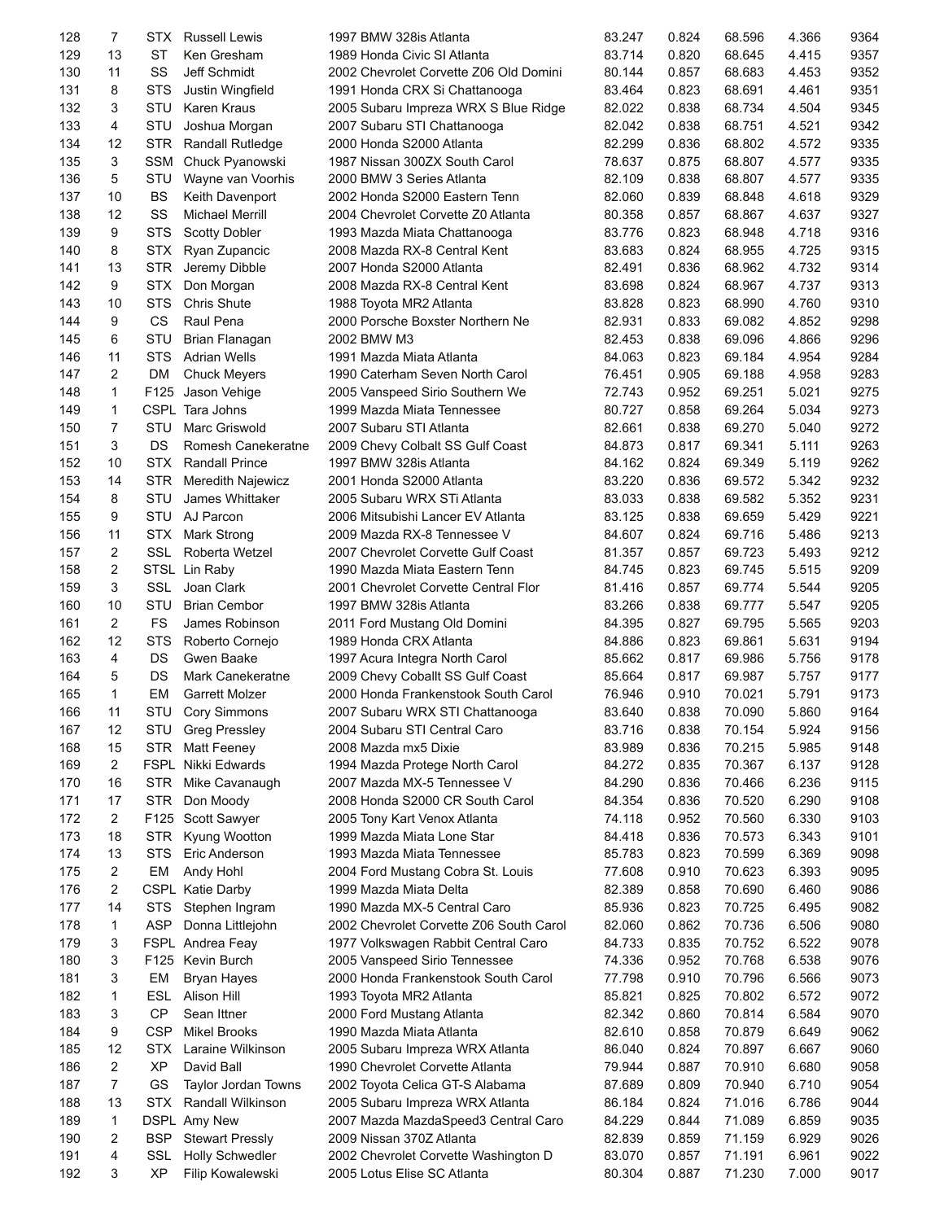| 128        | 7              | STX.       | <b>Russell Lewis</b>    | 1997 BMW 328is Atlanta                                               | 83.247           | 0.824          | 68.596           | 4.366          | 9364         |
|------------|----------------|------------|-------------------------|----------------------------------------------------------------------|------------------|----------------|------------------|----------------|--------------|
| 129        | 13             | ST         | Ken Gresham             | 1989 Honda Civic SI Atlanta                                          | 83.714           | 0.820          | 68.645           | 4.415          | 9357         |
| 130        | 11             | SS         | Jeff Schmidt            | 2002 Chevrolet Corvette Z06 Old Domini                               | 80.144           | 0.857          | 68.683           | 4.453          | 9352         |
| 131        | 8              | <b>STS</b> | Justin Wingfield        | 1991 Honda CRX Si Chattanooga                                        | 83.464           | 0.823          | 68.691           | 4.461          | 9351         |
| 132        | 3              | STU        | Karen Kraus             | 2005 Subaru Impreza WRX S Blue Ridge                                 | 82.022           | 0.838          | 68.734           | 4.504          | 9345         |
| 133        | 4              | STU        | Joshua Morgan           | 2007 Subaru STI Chattanooga                                          | 82.042           | 0.838          | 68.751           | 4.521          | 9342         |
| 134        | 12             | STR        | <b>Randall Rutledge</b> | 2000 Honda S2000 Atlanta                                             | 82.299           | 0.836          | 68.802           | 4.572          | 9335         |
| 135        | 3              | <b>SSM</b> | Chuck Pyanowski         | 1987 Nissan 300ZX South Carol                                        | 78.637           | 0.875          | 68.807           | 4.577          | 9335         |
| 136        | 5              | STU        | Wayne van Voorhis       | 2000 BMW 3 Series Atlanta                                            | 82.109           | 0.838          | 68.807           | 4.577          | 9335         |
| 137        | 10             | <b>BS</b>  | Keith Davenport         | 2002 Honda S2000 Eastern Tenn                                        | 82.060           | 0.839          | 68.848           | 4.618          | 9329         |
| 138        | 12             | SS         | <b>Michael Merrill</b>  | 2004 Chevrolet Corvette Z0 Atlanta                                   | 80.358           | 0.857          | 68.867           | 4.637          | 9327         |
| 139        | 9              | <b>STS</b> | <b>Scotty Dobler</b>    | 1993 Mazda Miata Chattanooga                                         | 83.776           | 0.823          | 68.948           | 4.718          | 9316         |
| 140        | 8              | <b>STX</b> | Ryan Zupancic           | 2008 Mazda RX-8 Central Kent                                         | 83.683           | 0.824          | 68.955           | 4.725          | 9315         |
| 141        | 13             | <b>STR</b> | Jeremy Dibble           | 2007 Honda S2000 Atlanta                                             | 82.491           | 0.836          | 68.962           | 4.732          | 9314         |
| 142        | 9              | <b>STX</b> | Don Morgan              | 2008 Mazda RX-8 Central Kent                                         | 83.698           | 0.824          | 68.967           | 4.737          | 9313         |
| 143        | 10             | <b>STS</b> | <b>Chris Shute</b>      | 1988 Toyota MR2 Atlanta                                              | 83.828           | 0.823          | 68.990           | 4.760          | 9310         |
| 144        | 9              | <b>CS</b>  | Raul Pena               | 2000 Porsche Boxster Northern Ne                                     | 82.931           | 0.833          | 69.082           | 4.852          | 9298         |
| 145        | 6              | STU        |                         | 2002 BMW M3                                                          |                  | 0.838          |                  | 4.866          | 9296         |
|            |                |            | Brian Flanagan          | 1991 Mazda Miata Atlanta                                             | 82.453           |                | 69.096           |                | 9284         |
| 146        | 11             | STS        | <b>Adrian Wells</b>     |                                                                      | 84.063           | 0.823          | 69.184           | 4.954          |              |
| 147        | 2              | <b>DM</b>  | <b>Chuck Meyers</b>     | 1990 Caterham Seven North Carol                                      | 76.451           | 0.905          | 69.188           | 4.958          | 9283         |
| 148        | $\mathbf{1}$   |            | F125 Jason Vehige       | 2005 Vanspeed Sirio Southern We                                      | 72.743           | 0.952          | 69.251           | 5.021          | 9275         |
| 149        | $\mathbf{1}$   |            | CSPL Tara Johns         | 1999 Mazda Miata Tennessee                                           | 80.727           | 0.858          | 69.264           | 5.034          | 9273         |
| 150        | $\overline{7}$ | STU        | <b>Marc Griswold</b>    | 2007 Subaru STI Atlanta                                              | 82.661           | 0.838          | 69.270           | 5.040          | 9272         |
| 151        | 3              | DS         | Romesh Canekeratne      | 2009 Chevy Colbalt SS Gulf Coast                                     | 84.873           | 0.817          | 69.341           | 5.111          | 9263         |
| 152        | 10             | <b>STX</b> | <b>Randall Prince</b>   | 1997 BMW 328is Atlanta                                               | 84.162           | 0.824          | 69.349           | 5.119          | 9262         |
| 153        | 14             | <b>STR</b> | Meredith Najewicz       | 2001 Honda S2000 Atlanta                                             | 83.220           | 0.836          | 69.572           | 5.342          | 9232         |
| 154        | 8              | STU        | James Whittaker         | 2005 Subaru WRX STi Atlanta                                          | 83.033           | 0.838          | 69.582           | 5.352          | 9231         |
| 155        | 9              | <b>STU</b> | AJ Parcon               | 2006 Mitsubishi Lancer EV Atlanta                                    | 83.125           | 0.838          | 69.659           | 5.429          | 9221         |
| 156        | 11             | STX        | Mark Strong             | 2009 Mazda RX-8 Tennessee V                                          | 84.607           | 0.824          | 69.716           | 5.486          | 9213         |
| 157        | 2              | <b>SSL</b> | Roberta Wetzel          | 2007 Chevrolet Corvette Gulf Coast                                   | 81.357           | 0.857          | 69.723           | 5.493          | 9212         |
| 158        | 2              |            | STSL Lin Raby           | 1990 Mazda Miata Eastern Tenn                                        | 84.745           | 0.823          | 69.745           | 5.515          | 9209         |
| 159        | 3              | <b>SSL</b> | Joan Clark              | 2001 Chevrolet Corvette Central Flor                                 | 81.416           | 0.857          | 69.774           | 5.544          | 9205         |
| 160        | 10             | STU        | <b>Brian Cembor</b>     | 1997 BMW 328is Atlanta                                               | 83.266           | 0.838          | 69.777           | 5.547          | 9205         |
| 161        | 2              | FS         | James Robinson          | 2011 Ford Mustang Old Domini                                         | 84.395           | 0.827          | 69.795           | 5.565          | 9203         |
| 162        | 12             | <b>STS</b> | Roberto Cornejo         | 1989 Honda CRX Atlanta                                               | 84.886           | 0.823          | 69.861           | 5.631          | 9194         |
| 163        | 4              | DS         | Gwen Baake              | 1997 Acura Integra North Carol                                       | 85.662           | 0.817          | 69.986           | 5.756          | 9178         |
| 164        | 5              | DS         | Mark Canekeratne        | 2009 Chevy Coballt SS Gulf Coast                                     | 85.664           | 0.817          | 69.987           | 5.757          | 9177         |
| 165        | $\mathbf{1}$   | EM         | <b>Garrett Molzer</b>   | 2000 Honda Frankenstook South Carol                                  | 76.946           | 0.910          | 70.021           | 5.791          | 9173         |
| 166        | 11             | STU        | <b>Cory Simmons</b>     | 2007 Subaru WRX STI Chattanooga                                      | 83.640           | 0.838          | 70.090           | 5.860          | 9164         |
| 167        | 12             | STU        | <b>Greg Pressley</b>    | 2004 Subaru STI Central Caro                                         | 83.716           | 0.838          | 70.154           | 5.924          | 9156         |
| 168        | 15             | <b>STR</b> | <b>Matt Feeney</b>      | 2008 Mazda mx5 Dixie                                                 | 83.989           | 0.836          | 70.215           | 5.985          | 9148         |
| 169        | 2              |            | FSPL Nikki Edwards      | 1994 Mazda Protege North Carol                                       | 84.272           | 0.835          | 70.367           | 6.137          | 9128         |
| 170        | 16             | STR        | Mike Cavanaugh          | 2007 Mazda MX-5 Tennessee V                                          | 84.290           | 0.836          | 70.466           | 6.236          | 9115         |
| 171        | 17             | STR        | Don Moody               | 2008 Honda S2000 CR South Carol                                      | 84.354           | 0.836          | 70.520           | 6.290          | 9108         |
| 172        | 2              |            | F125 Scott Sawyer       | 2005 Tony Kart Venox Atlanta                                         | 74.118           | 0.952          | 70.560           | 6.330          | 9103         |
| 173        | 18             | <b>STR</b> | Kyung Wootton           | 1999 Mazda Miata Lone Star                                           | 84.418           | 0.836          | 70.573           | 6.343          | 9101         |
| 174        | 13             | <b>STS</b> | Eric Anderson           | 1993 Mazda Miata Tennessee                                           | 85.783           | 0.823          | 70.599           | 6.369          | 9098         |
| 175        | 2              | EM         | Andy Hohl               | 2004 Ford Mustang Cobra St. Louis                                    | 77.608           | 0.910          | 70.623           | 6.393          | 9095         |
| 176        | 2              |            | <b>CSPL Katie Darby</b> | 1999 Mazda Miata Delta                                               | 82.389           | 0.858          | 70.690           | 6.460          | 9086         |
| 177        | 14             | <b>STS</b> | Stephen Ingram          | 1990 Mazda MX-5 Central Caro                                         | 85.936           | 0.823          | 70.725           | 6.495          | 9082         |
| 178        | 1              | <b>ASP</b> | Donna Littlejohn        | 2002 Chevrolet Corvette Z06 South Carol                              | 82.060           | 0.862          | 70.736           | 6.506          | 9080         |
| 179        | 3              |            | FSPL Andrea Feay        |                                                                      | 84.733           | 0.835          | 70.752           | 6.522          | 9078         |
|            | 3              |            |                         | 1977 Volkswagen Rabbit Central Caro                                  |                  |                |                  |                |              |
| 180<br>181 | 3              | EM         | F125 Kevin Burch        | 2005 Vanspeed Sirio Tennessee<br>2000 Honda Frankenstook South Carol | 74.336<br>77.798 | 0.952<br>0.910 | 70.768<br>70.796 | 6.538<br>6.566 | 9076<br>9073 |
|            |                |            | <b>Bryan Hayes</b>      |                                                                      |                  |                |                  |                |              |
| 182        | 1              | ESL        | Alison Hill             | 1993 Toyota MR2 Atlanta                                              | 85.821           | 0.825          | 70.802           | 6.572          | 9072         |
| 183        | 3              | <b>CP</b>  | Sean Ittner             | 2000 Ford Mustang Atlanta                                            | 82.342           | 0.860          | 70.814           | 6.584          | 9070         |
| 184        | 9              | CSP        | <b>Mikel Brooks</b>     | 1990 Mazda Miata Atlanta                                             | 82.610           | 0.858          | 70.879           | 6.649          | 9062         |
| 185        | 12             | <b>STX</b> | Laraine Wilkinson       | 2005 Subaru Impreza WRX Atlanta                                      | 86.040           | 0.824          | 70.897           | 6.667          | 9060         |
| 186        | 2              | <b>XP</b>  | David Ball              | 1990 Chevrolet Corvette Atlanta                                      | 79.944           | 0.887          | 70.910           | 6.680          | 9058         |
| 187        | $\overline{7}$ | GS         | Taylor Jordan Towns     | 2002 Toyota Celica GT-S Alabama                                      | 87.689           | 0.809          | 70.940           | 6.710          | 9054         |
| 188        | 13             | <b>STX</b> | Randall Wilkinson       | 2005 Subaru Impreza WRX Atlanta                                      | 86.184           | 0.824          | 71.016           | 6.786          | 9044         |
| 189        | 1              |            | DSPL Amy New            | 2007 Mazda MazdaSpeed3 Central Caro                                  | 84.229           | 0.844          | 71.089           | 6.859          | 9035         |
| 190        | 2              | <b>BSP</b> | <b>Stewart Pressly</b>  | 2009 Nissan 370Z Atlanta                                             | 82.839           | 0.859          | 71.159           | 6.929          | 9026         |
| 191        | 4              | SSL        | <b>Holly Schwedler</b>  | 2002 Chevrolet Corvette Washington D                                 | 83.070           | 0.857          | 71.191           | 6.961          | 9022         |
| 192        | 3              | <b>XP</b>  | Filip Kowalewski        | 2005 Lotus Elise SC Atlanta                                          | 80.304           | 0.887          | 71.230           | 7.000          | 9017         |